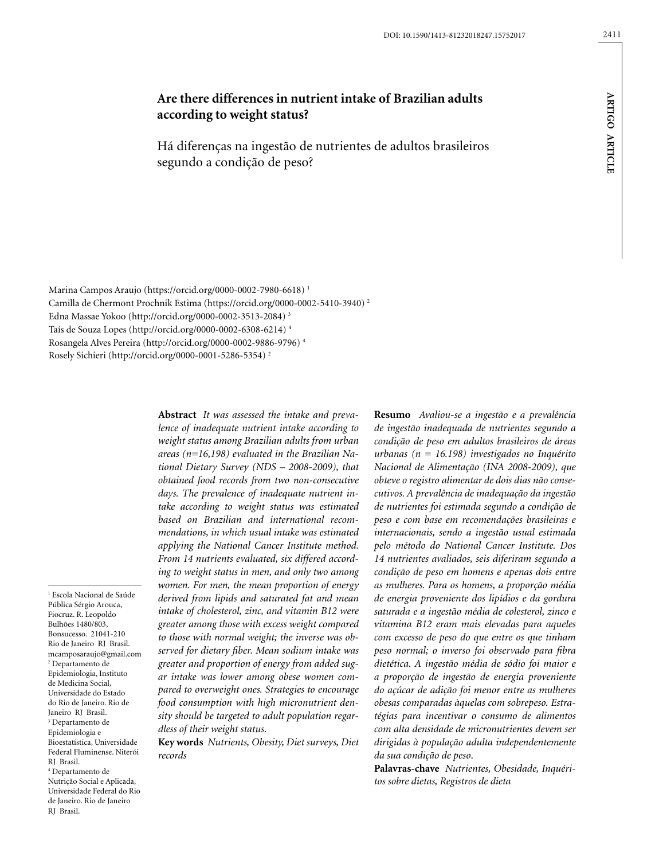# **Are there differences in nutrient intake of Brazilian adults according to weight status?**

Há diferenças na ingestão de nutrientes de adultos brasileiros segundo a condição de peso?

Marina Campos Araujo (https://orcid.org/0000-0002-7980-6618) 1 Camilla de Chermont Prochnik Estima (https://orcid.org/0000-0002-5410-3940) 2 Edna Massae Yokoo (http://orcid.org/0000-0002-3513-2084) 3 Taís de Souza Lopes (http://orcid.org/0000-0002-6308-6214) 4 Rosangela Alves Pereira (http://orcid.org/0000-0002-9886-9796) 4 Rosely Sichieri (http://orcid.org/0000-0001-5286-5354) 2

1 Escola Nacional de Saúde Pública Sérgio Arouca, Fiocruz. R. Leopoldo Bulhões 1480/803, Bonsucesso. 21041-210 Rio de Janeiro RJ Brasil. mcamposaraujo@gmail.com 2 Departamento de Epidemiologia, Instituto de Medicina Social, Universidade do Estado do Rio de Janeiro. Rio de Janeiro RJ Brasil. 3 Departamento de Epidemiologia e Bioestatística, Universidade Federal Fluminense. Niterói RJ Brasil. 4 Departamento de Nutrição Social e Aplicada, Universidade Federal do Rio de Janeiro. Rio de Janeiro RJ Brasil.

**Abstract** *It was assessed the intake and prevalence of inadequate nutrient intake according to weight status among Brazilian adults from urban areas (n=16,198) evaluated in the Brazilian National Dietary Survey (NDS – 2008-2009), that obtained food records from two non-consecutive days. The prevalence of inadequate nutrient intake according to weight status was estimated based on Brazilian and international recommendations, in which usual intake was estimated applying the National Cancer Institute method. From 14 nutrients evaluated, six differed according to weight status in men, and only two among women. For men, the mean proportion of energy derived from lipids and saturated fat and mean intake of cholesterol, zinc, and vitamin B12 were greater among those with excess weight compared to those with normal weight; the inverse was observed for dietary fiber. Mean sodium intake was greater and proportion of energy from added sugar intake was lower among obese women compared to overweight ones. Strategies to encourage food consumption with high micronutrient density should be targeted to adult population regardless of their weight status*.

**Key words** *Nutrients, Obesity, Diet surveys, Diet records*

**Resumo** *Avaliou-se a ingestão e a prevalência de ingestão inadequada de nutrientes segundo a condição de peso em adultos brasileiros de áreas urbanas (n = 16.198) investigados no Inquérito Nacional de Alimentação (INA 2008-2009), que obteve o registro alimentar de dois dias não consecutivos. A prevalência de inadequação da ingestão de nutrientes foi estimada segundo a condição de peso e com base em recomendações brasileiras e internacionais, sendo a ingestão usual estimada pelo método do National Cancer Institute. Dos 14 nutrientes avaliados, seis diferiram segundo a condição de peso em homens e apenas dois entre as mulheres. Para os homens, a proporção média de energia proveniente dos lipídios e da gordura saturada e a ingestão média de colesterol, zinco e vitamina B12 eram mais elevadas para aqueles com excesso de peso do que entre os que tinham peso normal; o inverso foi observado para fibra dietética. A ingestão média de sódio foi maior e a proporção de ingestão de energia proveniente do açúcar de adição foi menor entre as mulheres obesas comparadas àquelas com sobrepeso. Estratégias para incentivar o consumo de alimentos com alta densidade de micronutrientes devem ser dirigidas à população adulta independentemente da sua condição de peso*.

**Palavras-chave** *Nutrientes, Obesidade, Inquéritos sobre dietas, Registros de dieta*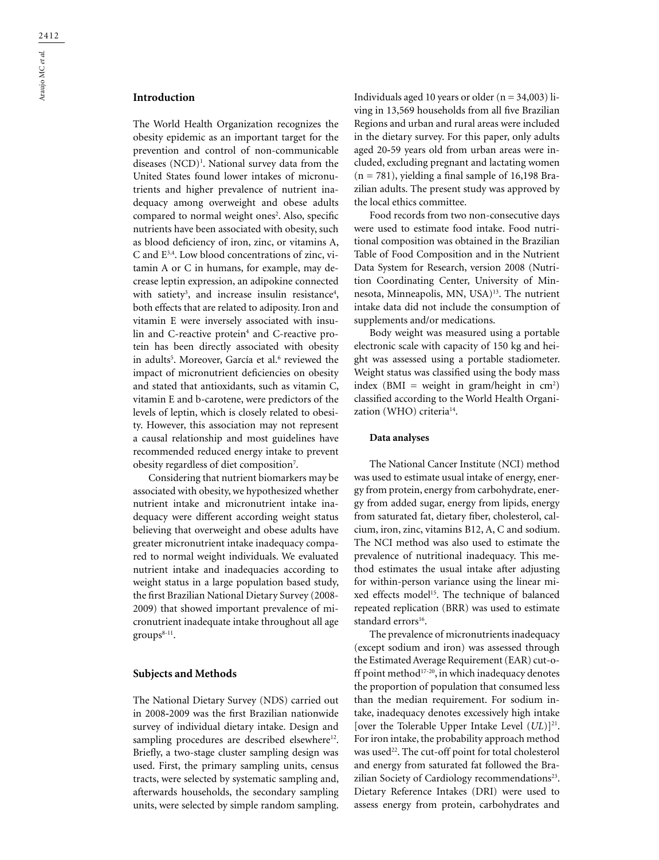# **Introduction**

The World Health Organization recognizes the obesity epidemic as an important target for the prevention and control of non-communicable diseases (NCD)<sup>1</sup>. National survey data from the United States found lower intakes of micronutrients and higher prevalence of nutrient inadequacy among overweight and obese adults compared to normal weight ones<sup>2</sup>. Also, specific nutrients have been associated with obesity, such as blood deficiency of iron, zinc, or vitamins A, C and E3,4. Low blood concentrations of zinc, vitamin A or C in humans, for example, may decrease leptin expression, an adipokine connected with satiety<sup>3</sup>, and increase insulin resistance<sup>4</sup>, both effects that are related to adiposity. Iron and vitamin E were inversely associated with insulin and C-reactive protein<sup>4</sup> and C-reactive protein has been directly associated with obesity in adults<sup>5</sup>. Moreover, García et al.<sup>6</sup> reviewed the impact of micronutrient deficiencies on obesity and stated that antioxidants, such as vitamin C, vitamin E and b-carotene, were predictors of the levels of leptin, which is closely related to obesity. However, this association may not represent a causal relationship and most guidelines have recommended reduced energy intake to prevent obesity regardless of diet composition $^7$ .

Considering that nutrient biomarkers may be associated with obesity, we hypothesized whether nutrient intake and micronutrient intake inadequacy were different according weight status believing that overweight and obese adults have greater micronutrient intake inadequacy compared to normal weight individuals. We evaluated nutrient intake and inadequacies according to weight status in a large population based study, the first Brazilian National Dietary Survey (2008- 2009) that showed important prevalence of micronutrient inadequate intake throughout all age groups<sup>8-11</sup>.

#### **Subjects and Methods**

The National Dietary Survey (NDS) carried out in 2008**-**2009 was the first Brazilian nationwide survey of individual dietary intake. Design and sampling procedures are described elsewhere<sup>12</sup>. Briefly, a two-stage cluster sampling design was used. First, the primary sampling units, census tracts, were selected by systematic sampling and, afterwards households, the secondary sampling units, were selected by simple random sampling.

Individuals aged 10 years or older  $(n = 34,003)$  living in 13,569 households from all five Brazilian Regions and urban and rural areas were included in the dietary survey. For this paper, only adults aged 20**-**59 years old from urban areas were included, excluding pregnant and lactating women  $(n = 781)$ , yielding a final sample of 16,198 Brazilian adults. The present study was approved by the local ethics committee.

Food records from two non-consecutive days were used to estimate food intake. Food nutritional composition was obtained in the Brazilian Table of Food Composition and in the Nutrient Data System for Research, version 2008 (Nutrition Coordinating Center, University of Minnesota, Minneapolis, MN, USA)13. The nutrient intake data did not include the consumption of supplements and/or medications.

Body weight was measured using a portable electronic scale with capacity of 150 kg and height was assessed using a portable stadiometer. Weight status was classified using the body mass index ( $BMI = weight in gram/height in cm<sup>2</sup>$ ) classified according to the World Health Organization (WHO) criteria<sup>14</sup>.

#### **Data analyses**

The National Cancer Institute (NCI) method was used to estimate usual intake of energy, energy from protein, energy from carbohydrate, energy from added sugar, energy from lipids, energy from saturated fat, dietary fiber, cholesterol, calcium, iron, zinc, vitamins B12, A, C and sodium. The NCI method was also used to estimate the prevalence of nutritional inadequacy. This method estimates the usual intake after adjusting for within-person variance using the linear mixed effects model<sup>15</sup>. The technique of balanced repeated replication (BRR) was used to estimate standard errors<sup>16</sup>.

The prevalence of micronutrients inadequacy (except sodium and iron) was assessed through the Estimated Average Requirement (EAR) cut-off point method<sup>17-20</sup>, in which inadequacy denotes the proportion of population that consumed less than the median requirement. For sodium intake, inadequacy denotes excessively high intake [over the Tolerable Upper Intake Level  $(UL)$ ]<sup>21</sup>. For iron intake, the probability approach method was used<sup>22</sup>. The cut-off point for total cholesterol and energy from saturated fat followed the Brazilian Society of Cardiology recommendations<sup>23</sup>. Dietary Reference Intakes (DRI) were used to assess energy from protein, carbohydrates and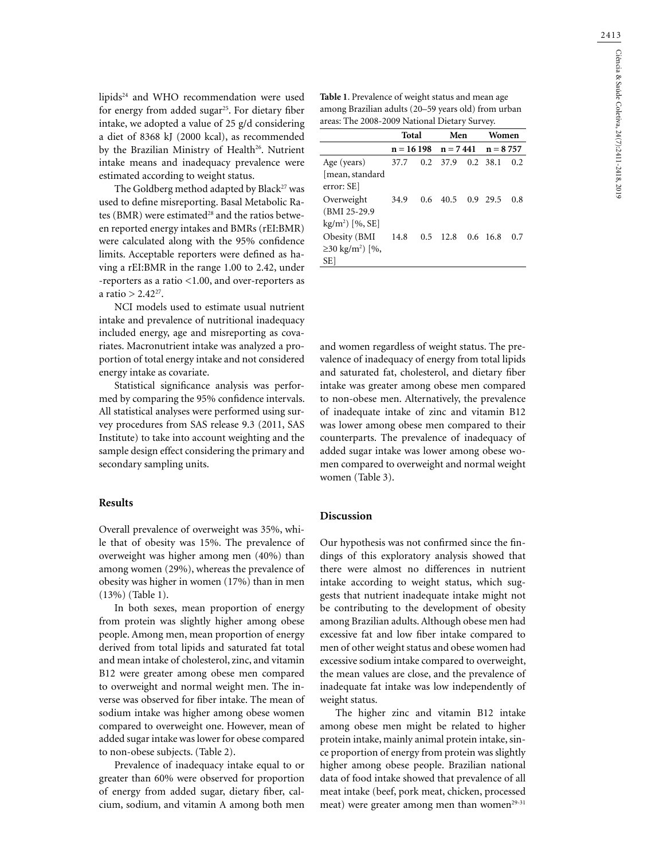lipids24 and WHO recommendation were used for energy from added sugar<sup>25</sup>. For dietary fiber intake, we adopted a value of 25 g/d considering a diet of 8368 kJ (2000 kcal), as recommended by the Brazilian Ministry of Health<sup>26</sup>. Nutrient intake means and inadequacy prevalence were estimated according to weight status.

The Goldberg method adapted by Black<sup>27</sup> was used to define misreporting. Basal Metabolic Rates (BMR) were estimated<sup>28</sup> and the ratios between reported energy intakes and BMRs (rEI:BMR) were calculated along with the 95% confidence limits. Acceptable reporters were defined as having a rEI:BMR in the range 1.00 to 2.42, under -reporters as a ratio <1.00, and over-reporters as a ratio  $> 2.42^{27}$ .

NCI models used to estimate usual nutrient intake and prevalence of nutritional inadequacy included energy, age and misreporting as covariates. Macronutrient intake was analyzed a proportion of total energy intake and not considered energy intake as covariate.

Statistical significance analysis was performed by comparing the 95% confidence intervals. All statistical analyses were performed using survey procedures from SAS release 9.3 (2011, SAS Institute) to take into account weighting and the sample design effect considering the primary and secondary sampling units.

# **Results**

Overall prevalence of overweight was 35%, while that of obesity was 15%. The prevalence of overweight was higher among men (40%) than among women (29%), whereas the prevalence of obesity was higher in women (17%) than in men (13%) (Table 1).

In both sexes, mean proportion of energy from protein was slightly higher among obese people. Among men, mean proportion of energy derived from total lipids and saturated fat total and mean intake of cholesterol, zinc, and vitamin B12 were greater among obese men compared to overweight and normal weight men. The inverse was observed for fiber intake. The mean of sodium intake was higher among obese women compared to overweight one. However, mean of added sugar intake was lower for obese compared to non-obese subjects. (Table 2).

Prevalence of inadequacy intake equal to or greater than 60% were observed for proportion of energy from added sugar, dietary fiber, calcium, sodium, and vitamin A among both men **Table 1**. Prevalence of weight status and mean age among Brazilian adults (20–59 years old) from urban areas: The 2008-2009 National Dietary Survey.

|                                   | Total       |               | Men              |  | Women      |     |
|-----------------------------------|-------------|---------------|------------------|--|------------|-----|
|                                   | $n = 16198$ |               | $n = 7441$       |  | $n = 8757$ |     |
| Age (years)                       | 37.7        |               | $0.2 \quad 37.9$ |  | $0.2$ 38.1 | 0.2 |
| [mean, standard                   |             |               |                  |  |            |     |
| error: SE]                        |             |               |                  |  |            |     |
| Overweight                        | 34.9        | $0.6^{\circ}$ | 40.5             |  | 0.9 29.5   | 0.8 |
| (BMI 25-29.9)                     |             |               |                  |  |            |     |
| $kg/m2$ [%, SE]                   |             |               |                  |  |            |     |
| Obesity (BMI                      | 14.8        |               | $0.5$ 12.8       |  | $0.6$ 16.8 | 0.7 |
| $\geq$ 30 kg/m <sup>2</sup> ) [%, |             |               |                  |  |            |     |
| SE]                               |             |               |                  |  |            |     |

and women regardless of weight status. The prevalence of inadequacy of energy from total lipids and saturated fat, cholesterol, and dietary fiber intake was greater among obese men compared to non-obese men. Alternatively, the prevalence of inadequate intake of zinc and vitamin B12 was lower among obese men compared to their counterparts. The prevalence of inadequacy of added sugar intake was lower among obese women compared to overweight and normal weight women (Table 3).

#### **Discussion**

Our hypothesis was not confirmed since the findings of this exploratory analysis showed that there were almost no differences in nutrient intake according to weight status, which suggests that nutrient inadequate intake might not be contributing to the development of obesity among Brazilian adults. Although obese men had excessive fat and low fiber intake compared to men of other weight status and obese women had excessive sodium intake compared to overweight, the mean values are close, and the prevalence of inadequate fat intake was low independently of weight status.

The higher zinc and vitamin B12 intake among obese men might be related to higher protein intake, mainly animal protein intake, since proportion of energy from protein was slightly higher among obese people. Brazilian national data of food intake showed that prevalence of all meat intake (beef, pork meat, chicken, processed meat) were greater among men than women<sup>29-31</sup>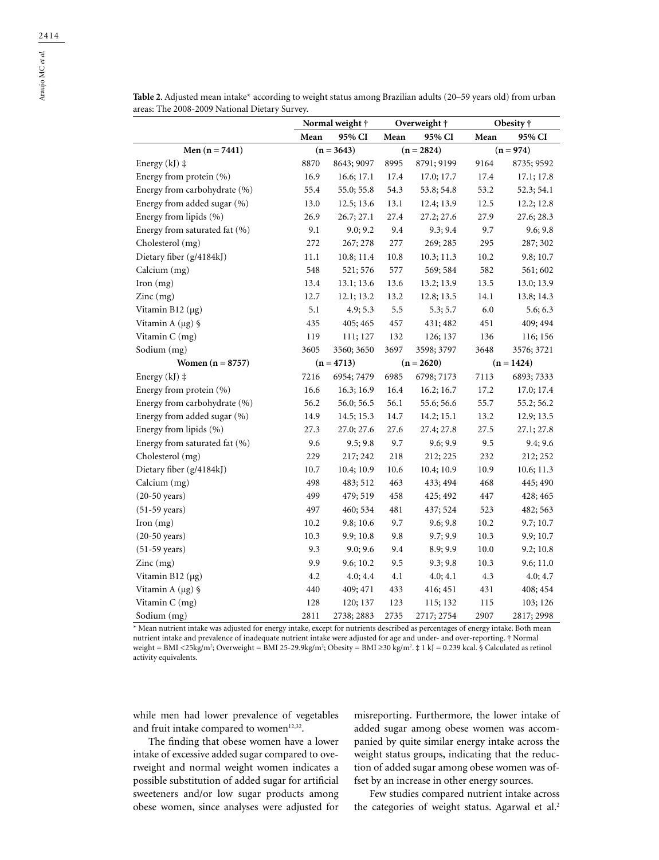|                               | Mean         | 95% CI       | Mean         | 95% CI       | Mean | 95% CI       |  |
|-------------------------------|--------------|--------------|--------------|--------------|------|--------------|--|
| Men $(n = 7441)$              | $(n = 3643)$ |              | $(n = 2824)$ |              |      | $(n = 974)$  |  |
| Energy $(kJ)$ ‡               | 8870         | 8643; 9097   | 8995         | 8791; 9199   | 9164 | 8735; 9592   |  |
| Energy from protein (%)       | 16.9         | 16.6; 17.1   | 17.4         | 17.0; 17.7   | 17.4 | 17.1; 17.8   |  |
| Energy from carbohydrate (%)  | 55.4         | 55.0; 55.8   | 54.3         | 53.8; 54.8   | 53.2 | 52.3; 54.1   |  |
| Energy from added sugar (%)   | 13.0         | 12.5; 13.6   | 13.1         | 12.4; 13.9   | 12.5 | 12.2; 12.8   |  |
| Energy from lipids (%)        | 26.9         | 26.7; 27.1   | 27.4         | 27.2; 27.6   | 27.9 | 27.6; 28.3   |  |
| Energy from saturated fat (%) | 9.1          | 9.0; 9.2     | 9.4          | 9.3; 9.4     | 9.7  | 9.6; 9.8     |  |
| Cholesterol (mg)              | 272          | 267; 278     | 277          | 269; 285     | 295  | 287; 302     |  |
| Dietary fiber (g/4184kJ)      | 11.1         | 10.8; 11.4   | 10.8         | 10.3; 11.3   | 10.2 | 9.8; 10.7    |  |
| Calcium (mg)                  | 548          | 521; 576     | 577          | 569; 584     | 582  | 561; 602     |  |
| Iron $(mg)$                   | 13.4         | 13.1; 13.6   | 13.6         | 13.2; 13.9   | 13.5 | 13.0; 13.9   |  |
| Zinc(mg)                      | 12.7         | 12.1; 13.2   | 13.2         | 12.8; 13.5   | 14.1 | 13.8; 14.3   |  |
| Vitamin B12 $(\mu g)$         | 5.1          | 4.9; 5.3     | 5.5          | 5.3; 5.7     | 6.0  | 5.6; 6.3     |  |
| Vitamin A $(\mu g)$ §         | 435          | 405; 465     | 457          | 431; 482     | 451  | 409; 494     |  |
| Vitamin C (mg)                | 119          | 111; 127     | 132          | 126; 137     | 136  | 116; 156     |  |
| Sodium (mg)                   | 3605         | 3560; 3650   | 3697         | 3598; 3797   | 3648 | 3576; 3721   |  |
| Women $(n = 8757)$            |              | $(n = 4713)$ |              | $(n = 2620)$ |      | $(n = 1424)$ |  |
| Energy $(kJ)$ $\ddagger$      | 7216         | 6954; 7479   | 6985         | 6798; 7173   | 7113 | 6893; 7333   |  |
| Energy from protein (%)       | 16.6         | 16.3; 16.9   | 16.4         | 16.2; 16.7   | 17.2 | 17.0; 17.4   |  |
| Energy from carbohydrate (%)  | 56.2         | 56.0; 56.5   | 56.1         | 55.6; 56.6   | 55.7 | 55.2; 56.2   |  |
| Energy from added sugar (%)   | 14.9         | 14.5; 15.3   | 14.7         | 14.2; 15.1   | 13.2 | 12.9; 13.5   |  |
| Energy from lipids (%)        | 27.3         | 27.0; 27.6   | 27.6         | 27.4; 27.8   | 27.5 | 27.1; 27.8   |  |
| Energy from saturated fat (%) | 9.6          | 9.5; 9.8     | 9.7          | 9.6; 9.9     | 9.5  | 9.4; 9.6     |  |
| Cholesterol (mg)              | 229          | 217; 242     | 218          | 212; 225     | 232  | 212; 252     |  |
| Dietary fiber (g/4184kJ)      | 10.7         | 10.4; 10.9   | 10.6         | 10.4; 10.9   | 10.9 | 10.6; 11.3   |  |
| Calcium (mg)                  | 498          | 483; 512     | 463          | 433; 494     | 468  | 445; 490     |  |
| $(20-50 \text{ years})$       | 499          | 479; 519     | 458          | 425; 492     | 447  | 428; 465     |  |
| $(51-59 \text{ years})$       | 497          | 460; 534     | 481          | 437; 524     | 523  | 482; 563     |  |
| Iron $(mg)$                   | 10.2         | 9.8; 10.6    | 9.7          | 9.6; 9.8     | 10.2 | 9.7; 10.7    |  |
| $(20-50 \text{ years})$       | 10.3         | 9.9; 10.8    | 9.8          | 9.7; 9.9     | 10.3 | 9.9; 10.7    |  |
| $(51-59 \text{ years})$       | 9.3          | 9.0; 9.6     | 9.4          | 8.9; 9.9     | 10.0 | 9.2; 10.8    |  |
| Zinc(mg)                      | 9.9          | 9.6; 10.2    | 9.5          | 9.3; 9.8     | 10.3 | 9.6; 11.0    |  |
| Vitamin B12 (µg)              | 4.2          | 4.0; 4.4     | 4.1          | 4.0; 4.1     | 4.3  | 4.0; 4.7     |  |
| Vitamin A $(\mu g)$ §         | 440          | 409; 471     | 433          | 416; 451     | 431  | 408; 454     |  |

**Table 2**. Adjusted mean intake\* according to weight status among Brazilian adults (20–59 years old) from urban areas: The 2008-2009 National Dietary Survey.

**Normal weight † Overweight † Obesity †**

\* Mean nutrient intake was adjusted for energy intake, except for nutrients described as percentages of energy intake. Both mean nutrient intake and prevalence of inadequate nutrient intake were adjusted for age and under- and over-reporting. † Normal weight = BMI <25kg/m<sup>2</sup>; Overweight = BMI 25-29.9kg/m<sup>2</sup>; Obesity = BMI ≥30 kg/m<sup>2</sup>.‡ 1 kJ = 0.239 kcal.§Calculated as retinol activity equivalents.

Vitamin C (mg) 128 120; 137 123 115; 132 115 103; 126 Sodium (mg) 2811 2738; 2883 2735 2717; 2754 2907 2817; 2998

while men had lower prevalence of vegetables and fruit intake compared to women $12,32$ .

The finding that obese women have a lower intake of excessive added sugar compared to overweight and normal weight women indicates a possible substitution of added sugar for artificial sweeteners and/or low sugar products among obese women, since analyses were adjusted for

misreporting. Furthermore, the lower intake of added sugar among obese women was accompanied by quite similar energy intake across the weight status groups, indicating that the reduction of added sugar among obese women was offset by an increase in other energy sources.

Few studies compared nutrient intake across the categories of weight status. Agarwal et al.<sup>2</sup>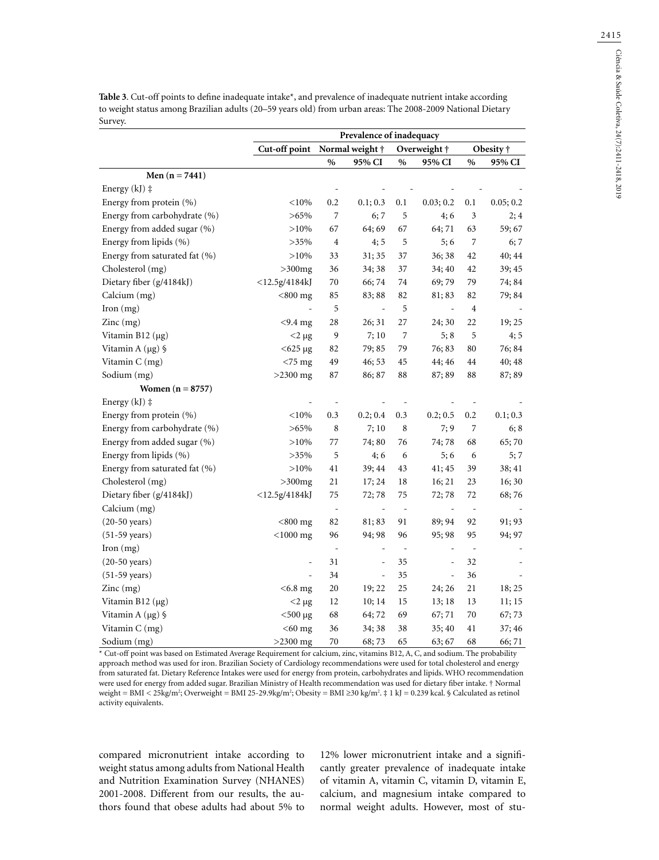**Table 3**. Cut-off points to define inadequate intake\*, and prevalence of inadequate nutrient intake according to weight status among Brazilian adults (20–59 years old) from urban areas: The 2008-2009 National Dietary Survey.

|                                        | Prevalence of inadequacy                 |                |                     |                          |                          |                |           |  |
|----------------------------------------|------------------------------------------|----------------|---------------------|--------------------------|--------------------------|----------------|-----------|--|
|                                        | Cut-off point<br>Normal weight $\dagger$ |                |                     |                          | Overweight †             | Obesity †      |           |  |
|                                        |                                          | $\%$           | 95% CI              | $\%$                     | 95% CI                   | $\%$           | 95% CI    |  |
| Men $(n = 7441)$                       |                                          |                |                     |                          |                          |                |           |  |
| Energy $(kJ)$ ‡                        |                                          |                |                     |                          |                          |                |           |  |
| Energy from protein (%)                | < 10%                                    | 0.2            | 0.1; 0.3            | 0.1                      | 0.03; 0.2                | 0.1            | 0.05; 0.2 |  |
| Energy from carbohydrate (%)           | $>65\%$                                  | 7              | 6; 7                | 5                        | 4;6                      | 3              | 2;4       |  |
| Energy from added sugar (%)            | $>10\%$                                  | 67             | 64; 69              | 67                       | 64; 71                   | 63             | 59;67     |  |
| Energy from lipids (%)                 | $>35\%$                                  | 4              | 4;5                 | 5                        | 5;6                      | 7              | 6; 7      |  |
| Energy from saturated fat (%)          | $>10\%$                                  | 33             | 31; 35              | 37                       | 36; 38                   | 42             | 40; 44    |  |
| Cholesterol (mg)                       | $>300$ mg                                | 36             | 34; 38              | 37                       | 34; 40                   | 42             | 39; 45    |  |
| Dietary fiber (g/4184kJ)               | $<$ 12.5g/4184kJ                         | 70             | 66;74               | 74                       | 69;79                    | 79             | 74; 84    |  |
| Calcium (mg)                           | $<$ 800 mg                               | 85             | 83; 88              | 82                       | 81; 83                   | 82             | 79; 84    |  |
| Iron (mg)                              |                                          | 5              | $\bar{\phantom{a}}$ | 5                        | $\bar{\phantom{a}}$      | $\overline{4}$ |           |  |
| $Zinc$ (mg)                            | $<$ 9.4 mg                               | 28             | 26; 31              | 27                       | 24; 30                   | 22             | 19; 25    |  |
| Vitamin B12 $(\mu g)$                  | $<$ 2 µg                                 | 9              | 7;10                | 7                        | 5;8                      | 5              | 4;5       |  |
| Vitamin A $(\mu g)$ §                  | $<$ 625 µg                               | 82             | 79; 85              | 79                       | 76; 83                   | 80             | 76; 84    |  |
| Vitamin C (mg)                         | $<$ 75 mg                                | 49             | 46; 53              | 45                       | 44; 46                   | 44             | 40; 48    |  |
| Sodium (mg)                            | $>2300$ mg                               | 87             | 86; 87              | 88                       | 87; 89                   | 88             | 87; 89    |  |
| Women $(n = 8757)$                     |                                          |                |                     |                          |                          |                |           |  |
| Energy (kJ) ‡                          |                                          |                |                     |                          |                          |                |           |  |
| Energy from protein (%)                | $<$ 10%                                  | 0.3            | 0.2; 0.4            | 0.3                      | 0.2; 0.5                 | 0.2            | 0.1; 0.3  |  |
| Energy from carbohydrate (%)           | $>65\%$                                  | 8              | 7;10                | 8                        | 7;9                      | 7              | 6; 8      |  |
| Energy from added sugar (%)            | $>10\%$                                  | 77             | 74; 80              | 76                       | 74;78                    | 68             | 65;70     |  |
| Energy from lipids (%)                 | $>35\%$                                  | 5              | 4;6                 | 6                        | 5;6                      | 6              | 5; 7      |  |
| Energy from saturated fat (%)          | $>10\%$                                  | 41             | 39; 44              | 43                       | 41; 45                   | 39             | 38; 41    |  |
| Cholesterol (mg)                       | $>300$ mg                                | 21             | 17; 24              | 18                       | 16; 21                   | 23             | 16; 30    |  |
| Dietary fiber (g/4184kJ)               | $<$ 12.5g/4184kJ                         | 75             | 72;78               | 75                       | 72;78                    | 72             | 68;76     |  |
| Calcium (mg)                           |                                          | $\frac{1}{2}$  |                     | $\overline{\phantom{a}}$ |                          |                |           |  |
| $(20-50 \text{ years})$                | $<$ 800 mg                               | 82             | 81; 83              | 91                       | 89; 94                   | 92             | 91; 93    |  |
| $(51-59 \text{ years})$                | $<$ 1000 mg                              | 96             | 94; 98              | 96                       | 95; 98                   | 95             | 94; 97    |  |
| $\Gamma$ Iron $(mg)$                   |                                          | $\overline{a}$ |                     | $\overline{\phantom{a}}$ |                          | $\overline{a}$ |           |  |
| $(20-50 \text{ years})$                | $\overline{a}$                           | 31             | $\equiv$            | 35                       | $\overline{\phantom{a}}$ | 32             |           |  |
| $(51-59 \text{ years})$                |                                          | 34             | $\equiv$            | 35                       | $\blacksquare$           | 36             |           |  |
| $\text{Zinc} \left( \text{mg} \right)$ | $<$ 6.8 mg                               | 20             | 19; 22              | 25                       | 24; 26                   | 21             | 18; 25    |  |
| Vitamin B12 $(\mu g)$                  | $<$ 2 µg                                 | 12             | 10; 14              | 15                       | 13;18                    | 13             | 11; 15    |  |
| Vitamin A $(\mu g)$ §                  | $<$ 500 µg                               | 68             | 64; 72              | 69                       | 67; 71                   | 70             | 67; 73    |  |
| Vitamin C (mg)                         | $<$ 60 mg                                | 36             | 34; 38              | 38                       | 35; 40                   | 41             | 37; 46    |  |
| Sodium (mg)                            | $>2300$ mg                               | 70             | 68;73               | 65                       | 63; 67                   | 68             | 66;71     |  |

\* Cut-off point was based on Estimated Average Requirement for calcium, zinc, vitamins B12, A, C, and sodium. The probability approach method was used for iron. Brazilian Society of Cardiology recommendations were used for total cholesterol and energy from saturated fat. Dietary Reference Intakes were used for energy from protein, carbohydrates and lipids. WHO recommendation were used for energy from added sugar. Brazilian Ministry of Health recommendation was used for dietary fiber intake. † Normal weight = BMI < 25kg/m<sup>2</sup>; Overweight = BMI 25-29.9kg/m<sup>2</sup>; Obesity = BMI ≥30 kg/m<sup>2</sup>. ‡ 1 kJ = 0.239 kcal. § Calculated as retinol activity equivalents.

compared micronutrient intake according to weight status among adults from National Health and Nutrition Examination Survey (NHANES) 2001-2008. Different from our results, the authors found that obese adults had about 5% to 12% lower micronutrient intake and a significantly greater prevalence of inadequate intake of vitamin A, vitamin C, vitamin D, vitamin E, calcium, and magnesium intake compared to normal weight adults. However, most of stu-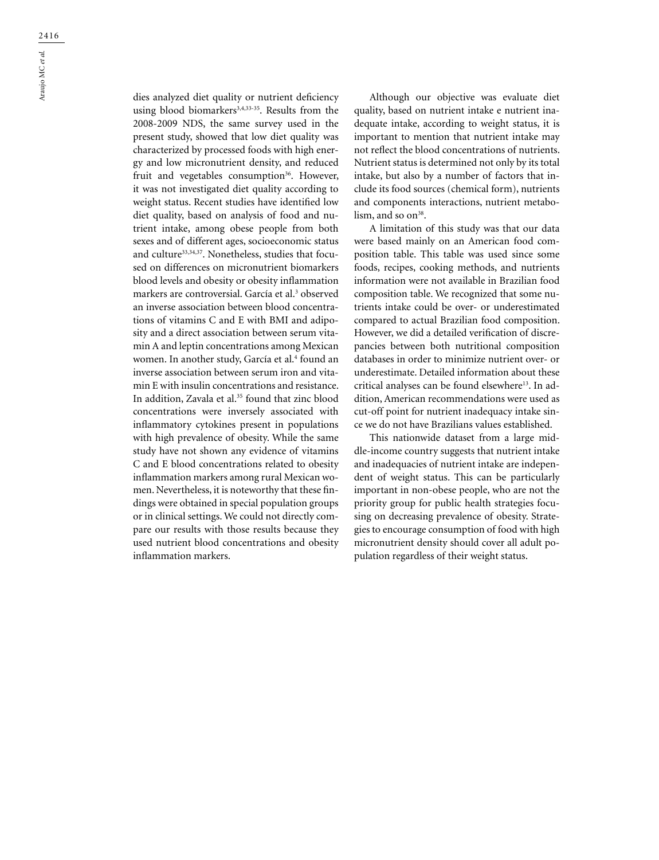dies analyzed diet quality or nutrient deficiency using blood biomarkers<sup>3,4,33-35</sup>. Results from the 2008-2009 NDS, the same survey used in the present study, showed that low diet quality was characterized by processed foods with high energy and low micronutrient density, and reduced fruit and vegetables consumption<sup>36</sup>. However, it was not investigated diet quality according to weight status. Recent studies have identified low diet quality, based on analysis of food and nutrient intake, among obese people from both sexes and of different ages, socioeconomic status and culture<sup>33,34,37</sup>. Nonetheless, studies that focused on differences on micronutrient biomarkers blood levels and obesity or obesity inflammation markers are controversial. García et al.3 observed an inverse association between blood concentrations of vitamins C and E with BMI and adiposity and a direct association between serum vitamin A and leptin concentrations among Mexican women. In another study, García et al.<sup>4</sup> found an inverse association between serum iron and vitamin E with insulin concentrations and resistance. In addition, Zavala et al.<sup>35</sup> found that zinc blood concentrations were inversely associated with inflammatory cytokines present in populations with high prevalence of obesity. While the same study have not shown any evidence of vitamins C and E blood concentrations related to obesity inflammation markers among rural Mexican women. Nevertheless, it is noteworthy that these findings were obtained in special population groups or in clinical settings. We could not directly compare our results with those results because they used nutrient blood concentrations and obesity inflammation markers.

Although our objective was evaluate diet quality, based on nutrient intake e nutrient inadequate intake, according to weight status, it is important to mention that nutrient intake may not reflect the blood concentrations of nutrients. Nutrient status is determined not only by its total intake, but also by a number of factors that include its food sources (chemical form), nutrients and components interactions, nutrient metabolism, and so  $on<sup>38</sup>$ .

A limitation of this study was that our data were based mainly on an American food composition table. This table was used since some foods, recipes, cooking methods, and nutrients information were not available in Brazilian food composition table. We recognized that some nutrients intake could be over- or underestimated compared to actual Brazilian food composition. However, we did a detailed verification of discrepancies between both nutritional composition databases in order to minimize nutrient over- or underestimate. Detailed information about these critical analyses can be found elsewhere<sup>13</sup>. In addition, American recommendations were used as cut-off point for nutrient inadequacy intake since we do not have Brazilians values established.

This nationwide dataset from a large middle-income country suggests that nutrient intake and inadequacies of nutrient intake are independent of weight status. This can be particularly important in non-obese people, who are not the priority group for public health strategies focusing on decreasing prevalence of obesity. Strategies to encourage consumption of food with high micronutrient density should cover all adult population regardless of their weight status.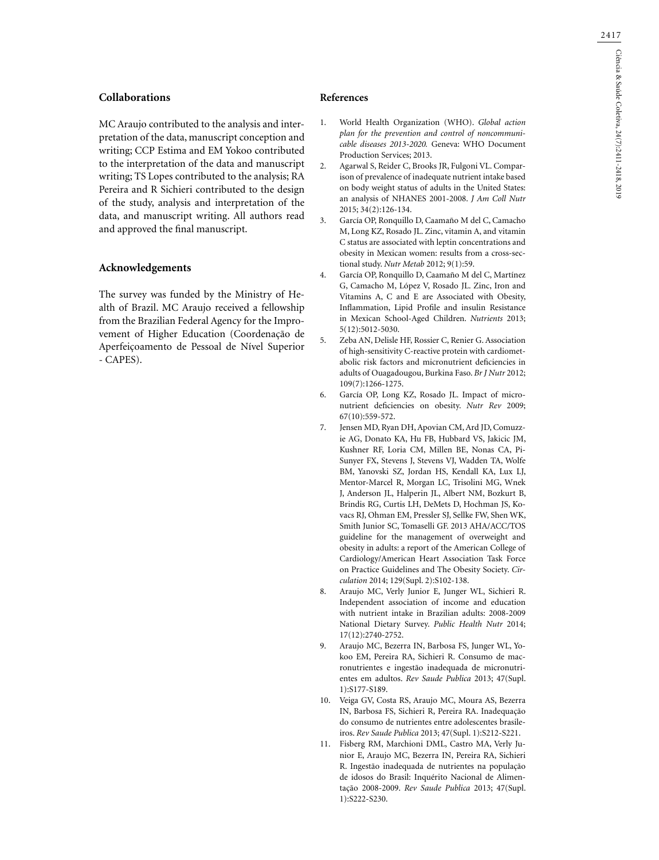### **Collaborations**

MC Araujo contributed to the analysis and interpretation of the data, manuscript conception and writing; CCP Estima and EM Yokoo contributed to the interpretation of the data and manuscript writing; TS Lopes contributed to the analysis; RA Pereira and R Sichieri contributed to the design of the study, analysis and interpretation of the data, and manuscript writing. All authors read and approved the final manuscript.

# **Acknowledgements**

The survey was funded by the Ministry of Health of Brazil. MC Araujo received a fellowship from the Brazilian Federal Agency for the Improvement of Higher Education (Coordenação de Aperfeiçoamento de Pessoal de Nível Superior - CAPES).

### **References**

- 1. World Health Organization (WHO). *Global action plan for the prevention and control of noncommunicable diseases 2013-2020.* Geneva: WHO Document Production Services; 2013.
- 2. Agarwal S, Reider C, Brooks JR, Fulgoni VL. Comparison of prevalence of inadequate nutrient intake based on body weight status of adults in the United States: an analysis of NHANES 2001-2008. *J Am Coll Nutr* 2015; 34(2):126-134.
- 3. García OP, Ronquillo D, Caamaño M del C, Camacho M, Long KZ, Rosado JL. Zinc, vitamin A, and vitamin C status are associated with leptin concentrations and obesity in Mexican women: results from a cross-sectional study. *Nutr Metab* 2012; 9(1):59.
- 4. García OP, Ronquillo D, Caamaño M del C, Martínez G, Camacho M, López V, Rosado JL. Zinc, Iron and Vitamins A, C and E are Associated with Obesity, Inflammation, Lipid Profile and insulin Resistance in Mexican School-Aged Children. *Nutrients* 2013; 5(12):5012-5030.
- 5. Zeba AN, Delisle HF, Rossier C, Renier G. Association of high-sensitivity C-reactive protein with cardiometabolic risk factors and micronutrient deficiencies in adults of Ouagadougou, Burkina Faso. *Br J Nutr* 2012; 109(7):1266-1275.
- 6. García OP, Long KZ, Rosado JL. Impact of micronutrient deficiencies on obesity. *Nutr Rev* 2009; 67(10):559-572.
- 7. Jensen MD, Ryan DH, Apovian CM, Ard JD, Comuzzie AG, Donato KA, Hu FB, Hubbard VS, Jakicic JM, Kushner RF, Loria CM, Millen BE, Nonas CA, Pi-Sunyer FX, Stevens J, Stevens VJ, Wadden TA, Wolfe BM, Yanovski SZ, Jordan HS, Kendall KA, Lux LJ, Mentor-Marcel R, Morgan LC, Trisolini MG, Wnek J, Anderson JL, Halperin JL, Albert NM, Bozkurt B, Brindis RG, Curtis LH, DeMets D, Hochman JS, Kovacs RJ, Ohman EM, Pressler SJ, Sellke FW, Shen WK, Smith Junior SC, Tomaselli GF. 2013 AHA/ACC/TOS guideline for the management of overweight and obesity in adults: a report of the American College of Cardiology/American Heart Association Task Force on Practice Guidelines and The Obesity Society. *Circulation* 2014; 129(Supl. 2):S102-138.
- 8. Araujo MC, Verly Junior E, Junger WL, Sichieri R. Independent association of income and education with nutrient intake in Brazilian adults: 2008-2009 National Dietary Survey. *Public Health Nutr* 2014; 17(12):2740-2752.
- 9. Araujo MC, Bezerra IN, Barbosa FS, Junger WL, Yokoo EM, Pereira RA, Sichieri R. Consumo de macronutrientes e ingestão inadequada de micronutrientes em adultos. *Rev Saude Publica* 2013; 47(Supl. 1):S177-S189.
- 10. Veiga GV, Costa RS, Araujo MC, Moura AS, Bezerra IN, Barbosa FS, Sichieri R, Pereira RA. Inadequação do consumo de nutrientes entre adolescentes brasileiros. *Rev Saude Publica* 2013; 47(Supl. 1):S212-S221.
- 11. Fisberg RM, Marchioni DML, Castro MA, Verly Junior E, Araujo MC, Bezerra IN, Pereira RA, Sichieri R. Ingestão inadequada de nutrientes na população de idosos do Brasil: Inquérito Nacional de Alimentação 2008-2009. *Rev Saude Publica* 2013; 47(Supl. 1):S222-S230.